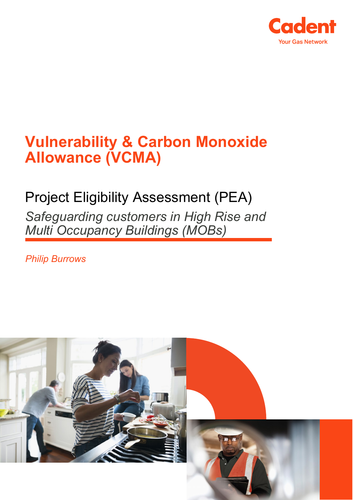

# **Vulnerability & Carbon Monoxide Allowance (VCMA)**

## Project Eligibility Assessment (PEA) *Safeguarding customers in High Rise and*

*Multi Occupancy Buildings (MOBs)*

*Philip Burrows*

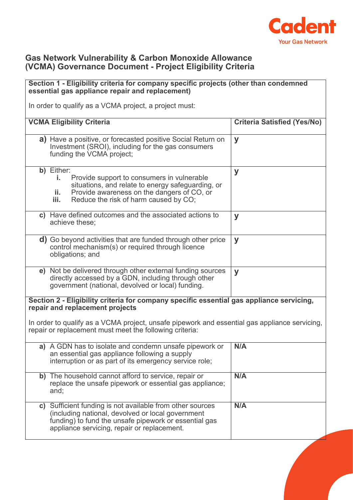

#### **Gas Network Vulnerability & Carbon Monoxide Allowance (VCMA) Governance Document - Project Eligibility Criteria**

| Section 1 - Eligibility criteria for company specific projects (other than condemned<br>essential gas appliance repair and replacement)                                                                                    |                                    |
|----------------------------------------------------------------------------------------------------------------------------------------------------------------------------------------------------------------------------|------------------------------------|
|                                                                                                                                                                                                                            |                                    |
| In order to qualify as a VCMA project, a project must:                                                                                                                                                                     |                                    |
| <b>VCMA Eligibility Criteria</b>                                                                                                                                                                                           | <b>Criteria Satisfied (Yes/No)</b> |
| a) Have a positive, or forecasted positive Social Return on<br>Investment (SROI), including for the gas consumers<br>funding the VCMA project;                                                                             | y                                  |
| b) Either:<br>Provide support to consumers in vulnerable<br>i.,<br>situations, and relate to energy safeguarding, or<br>Provide awareness on the dangers of CO, or<br>ii.<br>Reduce the risk of harm caused by CO;<br>iii. | y                                  |
| c) Have defined outcomes and the associated actions to<br>achieve these;                                                                                                                                                   | y                                  |
| <b>d)</b> Go beyond activities that are funded through other price<br>control mechanism(s) or required through licence<br>obligations; and                                                                                 | y                                  |
| e) Not be delivered through other external funding sources<br>directly accessed by a GDN, including through other<br>government (national, devolved or local) funding.                                                     | y                                  |
| Section 2 - Eligibility criteria for company specific essential gas appliance servicing,<br>repair and replacement projects                                                                                                |                                    |
| In order to qualify as a VCMA project, unsafe pipework and essential gas appliance servicing,<br>repair or replacement must meet the following criteria:                                                                   |                                    |
| a) A GDN has to isolate and condemn unsafe pipework or $\ $ N/A<br>an essential gas appliance following a supply<br>interruption or as part of its emergency service role;                                                 |                                    |
| b) The household cannot afford to service, repair or<br>replace the unsafe pipework or essential gas appliance;<br>and;                                                                                                    | N/A                                |
| c) Sufficient funding is not available from other sources<br>(including national, devolved or local government<br>funding) to fund the unsafe pipework or essential gas<br>appliance servicing, repair or replacement.     | N/A                                |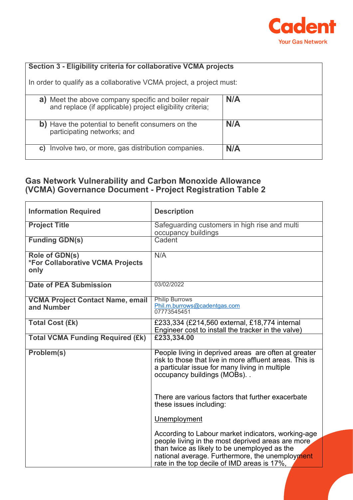

| Section 3 - Eligibility criteria for collaborative VCMA projects     |     |
|----------------------------------------------------------------------|-----|
|                                                                      |     |
| In order to qualify as a collaborative VCMA project, a project must: |     |
|                                                                      |     |
| a) Meet the above company specific and boiler repair                 | N/A |
| and replace (if applicable) project eligibility criteria;            |     |
|                                                                      |     |
|                                                                      |     |
| b) Have the potential to benefit consumers on the                    | N/A |
| participating networks; and                                          |     |
|                                                                      |     |
|                                                                      |     |
| Involve two, or more, gas distribution companies.<br>C)              | N/A |
|                                                                      |     |

### **Gas Network Vulnerability and Carbon Monoxide Allowance (VCMA) Governance Document - Project Registration Table 2**

| <b>Information Required</b>                                | <b>Description</b>                                                                                                                                                                                                                                        |
|------------------------------------------------------------|-----------------------------------------------------------------------------------------------------------------------------------------------------------------------------------------------------------------------------------------------------------|
| <b>Project Title</b>                                       | Safeguarding customers in high rise and multi<br>occupancy buildings                                                                                                                                                                                      |
| <b>Funding GDN(s)</b>                                      | Cadent                                                                                                                                                                                                                                                    |
| Role of GDN(s)<br>*For Collaborative VCMA Projects<br>only | N/A                                                                                                                                                                                                                                                       |
| <b>Date of PEA Submission</b>                              | 03/02/2022                                                                                                                                                                                                                                                |
| <b>VCMA Project Contact Name, email</b><br>and Number      | <b>Philip Burrows</b><br>Phil.m.burrows@cadentgas.com<br>07773545451                                                                                                                                                                                      |
| <b>Total Cost (£k)</b>                                     | £233,334 (£214,560 external, £18,774 internal<br>Engineer cost to install the tracker in the valve)                                                                                                                                                       |
| <b>Total VCMA Funding Required (£k)</b>                    | £233,334.00                                                                                                                                                                                                                                               |
| Problem(s)                                                 | People living in deprived areas are often at greater<br>risk to those that live in more affluent areas. This is<br>a particular issue for many living in multiple<br>occupancy buildings (MOBs)                                                           |
|                                                            | There are various factors that further exacerbate<br>these issues including:                                                                                                                                                                              |
|                                                            | Unemployment                                                                                                                                                                                                                                              |
|                                                            | According to Labour market indicators, working-age<br>people living in the most deprived areas are more<br>than twice as likely to be unemployed as the<br>national average. Furthermore, the unemployment<br>rate in the top decile of IMD areas is 17%, |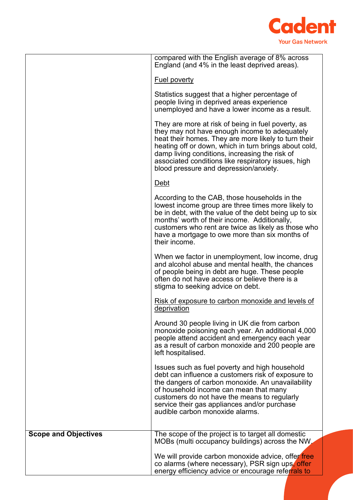

|                             | compared with the English average of 8% across<br>England (and 4% in the least deprived areas).                                                                                                                                                                                                                                                                         |
|-----------------------------|-------------------------------------------------------------------------------------------------------------------------------------------------------------------------------------------------------------------------------------------------------------------------------------------------------------------------------------------------------------------------|
|                             | <b>Fuel poverty</b>                                                                                                                                                                                                                                                                                                                                                     |
|                             | Statistics suggest that a higher percentage of<br>people living in deprived areas experience<br>unemployed and have a lower income as a result.                                                                                                                                                                                                                         |
|                             | They are more at risk of being in fuel poverty, as<br>they may not have enough income to adequately<br>heat their homes. They are more likely to turn their<br>heating off or down, which in turn brings about cold,<br>damp living conditions, increasing the risk of<br>associated conditions like respiratory issues, high<br>blood pressure and depression/anxiety. |
|                             | <u>Debt</u>                                                                                                                                                                                                                                                                                                                                                             |
|                             | According to the CAB, those households in the<br>lowest income group are three times more likely to<br>be in debt, with the value of the debt being up to six<br>months' worth of their income. Additionally,<br>customers who rent are twice as likely as those who<br>have a mortgage to owe more than six months of<br>their income.                                 |
|                             | When we factor in unemployment, low income, drug<br>and alcohol abuse and mental health, the chances<br>of people being in debt are huge. These people<br>often do not have access or believe there is a<br>stigma to seeking advice on debt.                                                                                                                           |
|                             | Risk of exposure to carbon monoxide and levels of<br>deprivation                                                                                                                                                                                                                                                                                                        |
|                             | Around 30 people living in UK die from carbon<br>monoxide poisoning each year. An additional 4,000<br>people attend accident and emergency each year<br>as a result of carbon monoxide and 200 people are<br>left hospitalised.                                                                                                                                         |
|                             | Issues such as fuel poverty and high household<br>debt can influence a customers risk of exposure to<br>the dangers of carbon monoxide. An unavailability<br>of household income can mean that many<br>customers do not have the means to regularly<br>service their gas appliances and/or purchase<br>audible carbon monoxide alarms.                                  |
| <b>Scope and Objectives</b> | The scope of the project is to target all domestic<br>MOBs (multi occupancy buildings) across the NW.                                                                                                                                                                                                                                                                   |
|                             | We will provide carbon monoxide advice, offer free<br>co alarms (where necessary), PSR sign ups, offer<br>energy efficiency advice or encourage referrals to                                                                                                                                                                                                            |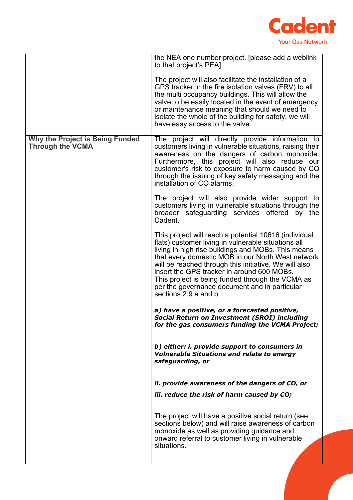

|                                                                   | the NEA one number project. [please add a weblink<br>to that project's PEA]                                                                                                                                                                                                                                                                                                                                                                                  |
|-------------------------------------------------------------------|--------------------------------------------------------------------------------------------------------------------------------------------------------------------------------------------------------------------------------------------------------------------------------------------------------------------------------------------------------------------------------------------------------------------------------------------------------------|
|                                                                   | The project will also facilitate the installation of a<br>GPS tracker in the fire isolation valves (FRV) to all<br>the multi occupancy buildings. This will allow the<br>valve to be easily located in the event of emergency<br>or maintenance meaning that should we need to<br>isolate the whole of the building for safety, we will<br>have easy access to the valve.                                                                                    |
| <b>Why the Project is Being Funded</b><br><b>Through the VCMA</b> | The project will directly provide information to<br>customers living in vulnerable situations, raising their<br>awareness on the dangers of carbon monoxide.<br>Furthermore, this project will also reduce our<br>customer's risk to exposure to harm caused by CO<br>through the issuing of key safety messaging and the<br>installation of CO alarms.                                                                                                      |
|                                                                   | The project will also provide wider support to<br>customers living in vulnerable situations through the<br>broader safeguarding services offered by the<br>Cadent.                                                                                                                                                                                                                                                                                           |
|                                                                   | This project will reach a potential 10616 (individual<br>flats) customer living in vulnerable situations all<br>living in high rise buildings and MOBs. This means<br>that every domestic MOB in our North West network<br>will be reached through this initiative. We will also<br>insert the GPS tracker in around 600 MOBs.<br>This project is being funded through the VCMA as<br>per the governance document and in particular<br>sections 2.9 a and b. |
|                                                                   | a) have a positive, or a forecasted positive,<br><b>Social Return on Investment (SROI) including</b><br>for the gas consumers funding the VCMA Project;                                                                                                                                                                                                                                                                                                      |
|                                                                   | b) either: i. provide support to consumers in<br><b>Vulnerable Situations and relate to energy</b><br>safeguarding, or                                                                                                                                                                                                                                                                                                                                       |
|                                                                   | ii. provide awareness of the dangers of CO, or                                                                                                                                                                                                                                                                                                                                                                                                               |
|                                                                   | iii. reduce the risk of harm caused by CO;                                                                                                                                                                                                                                                                                                                                                                                                                   |
|                                                                   | The project will have a positive social return (see<br>sections below) and will raise awareness of carbon<br>monoxide as well as providing guidance and<br>onward referral to customer living in vulnerable<br>situations.                                                                                                                                                                                                                                   |
|                                                                   |                                                                                                                                                                                                                                                                                                                                                                                                                                                              |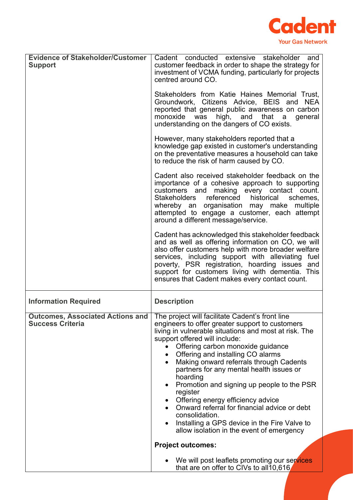

| <b>Evidence of Stakeholder/Customer</b><br><b>Support</b> | Cadent conducted extensive stakeholder<br>and<br>customer feedback in order to shape the strategy for<br>investment of VCMA funding, particularly for projects<br>centred around CO.<br>Stakeholders from Katie Haines Memorial Trust,<br>Groundwork, Citizens Advice, BEIS and NEA<br>reported that general public awareness on carbon<br>high, and that a<br>monoxide was<br>general<br>understanding on the dangers of CO exists.<br>However, many stakeholders reported that a<br>knowledge gap existed in customer's understanding<br>on the preventative measures a household can take<br>to reduce the risk of harm caused by CO.<br>Cadent also received stakeholder feedback on the<br>importance of a cohesive approach to supporting<br>customers and making every contact count.<br>Stakeholders referenced historical<br>schemes,<br>whereby an organisation may make multiple<br>attempted to engage a customer, each attempt<br>around a different message/service.<br>Cadent has acknowledged this stakeholder feedback<br>and as well as offering information on CO, we will<br>also offer customers help with more broader welfare<br>services, including support with alleviating fuel<br>poverty, PSR registration, hoarding issues and<br>support for customers living with dementia. This<br>ensures that Cadent makes every contact count. |
|-----------------------------------------------------------|-------------------------------------------------------------------------------------------------------------------------------------------------------------------------------------------------------------------------------------------------------------------------------------------------------------------------------------------------------------------------------------------------------------------------------------------------------------------------------------------------------------------------------------------------------------------------------------------------------------------------------------------------------------------------------------------------------------------------------------------------------------------------------------------------------------------------------------------------------------------------------------------------------------------------------------------------------------------------------------------------------------------------------------------------------------------------------------------------------------------------------------------------------------------------------------------------------------------------------------------------------------------------------------------------------------------------------------------------------------------|
| <b>Information Required</b>                               | <b>Description</b>                                                                                                                                                                                                                                                                                                                                                                                                                                                                                                                                                                                                                                                                                                                                                                                                                                                                                                                                                                                                                                                                                                                                                                                                                                                                                                                                                |
| <b>Success Criteria</b>                                   | Outcomes, Associated Actions and   The project will facilitate Cadent's front line<br>engineers to offer greater support to customers<br>living in vulnerable situations and most at risk. The<br>support offered will include:<br>Offering carbon monoxide guidance<br>$\bullet$<br>• Offering and installing CO alarms<br>Making onward referrals through Cadents<br>partners for any mental health issues or<br>hoarding<br>Promotion and signing up people to the PSR<br>register<br>Offering energy efficiency advice<br>Onward referral for financial advice or debt<br>consolidation.<br>Installing a GPS device in the Fire Valve to<br>allow isolation in the event of emergency<br><b>Project outcomes:</b>                                                                                                                                                                                                                                                                                                                                                                                                                                                                                                                                                                                                                                             |
|                                                           | We will post leaflets promoting our services<br>that are on offer to CIVs to all10,616                                                                                                                                                                                                                                                                                                                                                                                                                                                                                                                                                                                                                                                                                                                                                                                                                                                                                                                                                                                                                                                                                                                                                                                                                                                                            |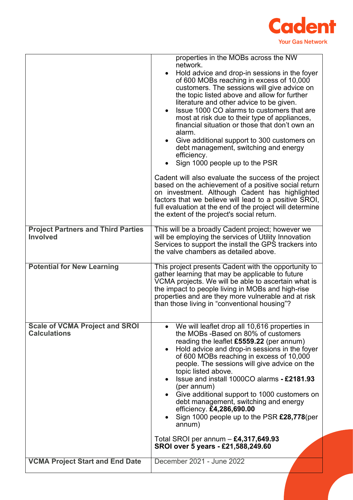

| <b>Project Partners and Third Parties</b><br><b>Involved</b> | properties in the MOBs across the NW<br>network.<br>Hold advice and drop-in sessions in the foyer<br>of 600 MOBs reaching in excess of 10,000<br>customers. The sessions will give advice on<br>the topic listed above and allow for further<br>literature and other advice to be given.<br>Issue 1000 CO alarms to customers that are<br>most at risk due to their type of appliances,<br>financial situation or those that don't own an<br>alarm.<br>Give additional support to 300 customers on<br>debt management, switching and energy<br>efficiency.<br>Sign 1000 people up to the PSR<br>Cadent will also evaluate the success of the project<br>based on the achievement of a positive social return<br>on investment. Although Cadent has highlighted<br>factors that we believe will lead to a positive SROI,<br>full evaluation at the end of the project will determine<br>the extent of the project's social return.<br>This will be a broadly Cadent project; however we<br>will be employing the services of Utility Innovation<br>Services to support the install the GPS trackers into<br>the valve chambers as detailed above. |
|--------------------------------------------------------------|--------------------------------------------------------------------------------------------------------------------------------------------------------------------------------------------------------------------------------------------------------------------------------------------------------------------------------------------------------------------------------------------------------------------------------------------------------------------------------------------------------------------------------------------------------------------------------------------------------------------------------------------------------------------------------------------------------------------------------------------------------------------------------------------------------------------------------------------------------------------------------------------------------------------------------------------------------------------------------------------------------------------------------------------------------------------------------------------------------------------------------------------------|
| <b>Potential for New Learning</b>                            | This project presents Cadent with the opportunity to<br>gather learning that may be applicable to future<br>VCMA projects. We will be able to ascertain what is<br>the impact to people living in MOBs and high-rise<br>properties and are they more vulnerable and at risk<br>than those living in "conventional housing"?                                                                                                                                                                                                                                                                                                                                                                                                                                                                                                                                                                                                                                                                                                                                                                                                                      |
| <b>Scale of VCMA Project and SROI</b><br><b>Calculations</b> | • We will leaflet drop all 10,616 properties in<br>the MOBs -Based on 80% of customers<br>reading the leaflet £5559.22 (per annum)<br>Hold advice and drop-in sessions in the foyer<br>$\bullet$<br>of 600 MOBs reaching in excess of 10,000<br>people. The sessions will give advice on the<br>topic listed above.<br>Issue and install 1000CO alarms - £2181.93<br>(per annum)<br>Give additional support to 1000 customers on<br>debt management, switching and energy<br>efficiency. £4,286,690.00<br>Sign 1000 people up to the PSR £28,778(per<br>annum)<br>Total SROI per annum $-$ £4,317,649.93<br>SROI over 5 years - £21,588,249.60                                                                                                                                                                                                                                                                                                                                                                                                                                                                                                   |
| <b>VCMA Project Start and End Date</b>                       | December 2021 - June 2022                                                                                                                                                                                                                                                                                                                                                                                                                                                                                                                                                                                                                                                                                                                                                                                                                                                                                                                                                                                                                                                                                                                        |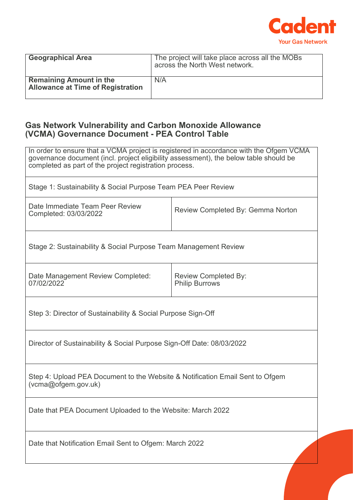

| <b>Geographical Area</b>                                                   | The project will take place across all the MOBs<br>across the North West network. |
|----------------------------------------------------------------------------|-----------------------------------------------------------------------------------|
| <b>Remaining Amount in the</b><br><b>Allowance at Time of Registration</b> | N/A                                                                               |

#### **Gas Network Vulnerability and Carbon Monoxide Allowance (VCMA) Governance Document - PEA Control Table**

In order to ensure that a VCMA project is registered in accordance with the Ofgem VCMA governance document (incl. project eligibility assessment), the below table should be completed as part of the project registration process.

Stage 1: Sustainability & Social Purpose Team PEA Peer Review

| Date Immediate Team Peer Review<br>Completed: 03/03/2022 | Review Completed By: Gemma Norton |
|----------------------------------------------------------|-----------------------------------|
|                                                          |                                   |

Stage 2: Sustainability & Social Purpose Team Management Review

| Date Management Review Completed:<br>07/02/2022 | Review Completed By:<br><b>Philip Burrows</b> |
|-------------------------------------------------|-----------------------------------------------|
|                                                 |                                               |

Step 3: Director of Sustainability & Social Purpose Sign-Off

Director of Sustainability & Social Purpose Sign-Off Date: 08/03/2022

Step 4: Upload PEA Document to the Website & Notification Email Sent to Ofgem (vcma@ofgem.gov.uk)

Date that PEA Document Uploaded to the Website: March 2022

Date that Notification Email Sent to Ofgem: March 2022